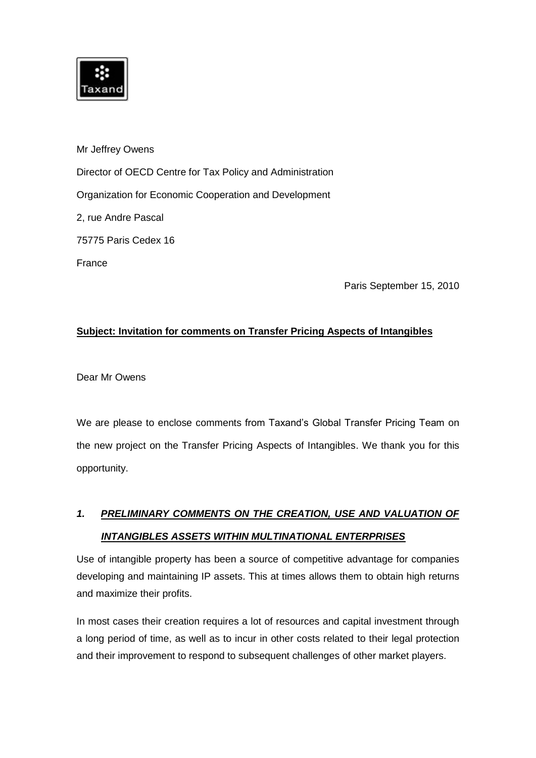

Mr Jeffrey Owens Director of OECD Centre for Tax Policy and Administration Organization for Economic Cooperation and Development 2, rue Andre Pascal 75775 Paris Cedex 16 France

Paris September 15, 2010

# **Subject: Invitation for comments on Transfer Pricing Aspects of Intangibles**

Dear Mr Owens

We are please to enclose comments from Taxand's Global Transfer Pricing Team on the new project on the Transfer Pricing Aspects of Intangibles. We thank you for this opportunity.

# *1. PRELIMINARY COMMENTS ON THE CREATION, USE AND VALUATION OF INTANGIBLES ASSETS WITHIN MULTINATIONAL ENTERPRISES*

Use of intangible property has been a source of competitive advantage for companies developing and maintaining IP assets. This at times allows them to obtain high returns and maximize their profits.

In most cases their creation requires a lot of resources and capital investment through a long period of time, as well as to incur in other costs related to their legal protection and their improvement to respond to subsequent challenges of other market players.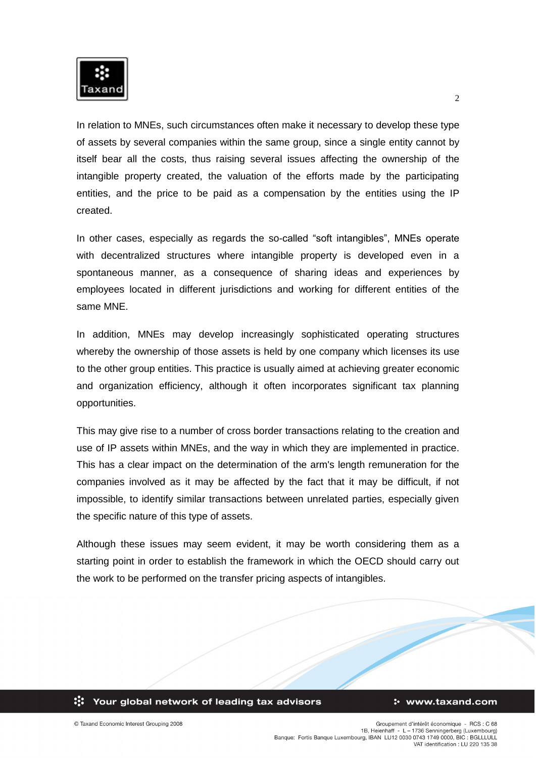

In relation to MNEs, such circumstances often make it necessary to develop these type of assets by several companies within the same group, since a single entity cannot by itself bear all the costs, thus raising several issues affecting the ownership of the intangible property created, the valuation of the efforts made by the participating entities, and the price to be paid as a compensation by the entities using the IP created.

In other cases, especially as regards the so-called "soft intangibles", MNEs operate with decentralized structures where intangible property is developed even in a spontaneous manner, as a consequence of sharing ideas and experiences by employees located in different jurisdictions and working for different entities of the same MNE.

In addition, MNEs may develop increasingly sophisticated operating structures whereby the ownership of those assets is held by one company which licenses its use to the other group entities. This practice is usually aimed at achieving greater economic and organization efficiency, although it often incorporates significant tax planning opportunities.

This may give rise to a number of cross border transactions relating to the creation and use of IP assets within MNEs, and the way in which they are implemented in practice. This has a clear impact on the determination of the arm's length remuneration for the companies involved as it may be affected by the fact that it may be difficult, if not impossible, to identify similar transactions between unrelated parties, especially given the specific nature of this type of assets.

Although these issues may seem evident, it may be worth considering them as a starting point in order to establish the framework in which the OECD should carry out the work to be performed on the transfer pricing aspects of intangibles.



#### : www.taxand.com

© Taxand Economic Interest Grouping 2008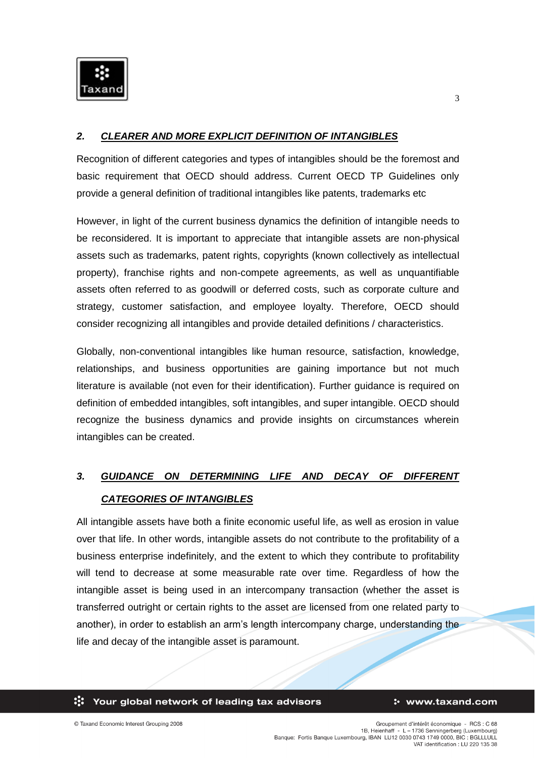

## *2. CLEARER AND MORE EXPLICIT DEFINITION OF INTANGIBLES*

Recognition of different categories and types of intangibles should be the foremost and basic requirement that OECD should address. Current OECD TP Guidelines only provide a general definition of traditional intangibles like patents, trademarks etc

However, in light of the current business dynamics the definition of intangible needs to be reconsidered. It is important to appreciate that intangible assets are non-physical assets such as trademarks, patent rights, copyrights (known collectively as intellectual property), franchise rights and non-compete agreements, as well as unquantifiable assets often referred to as goodwill or deferred costs, such as corporate culture and strategy, customer satisfaction, and employee loyalty. Therefore, OECD should consider recognizing all intangibles and provide detailed definitions / characteristics.

Globally, non-conventional intangibles like human resource, satisfaction, knowledge, relationships, and business opportunities are gaining importance but not much literature is available (not even for their identification). Further guidance is required on definition of embedded intangibles, soft intangibles, and super intangible. OECD should recognize the business dynamics and provide insights on circumstances wherein intangibles can be created.

# *3. GUIDANCE ON DETERMINING LIFE AND DECAY OF DIFFERENT CATEGORIES OF INTANGIBLES*

All intangible assets have both a finite economic useful life, as well as erosion in value over that life. In other words, intangible assets do not contribute to the profitability of a business enterprise indefinitely, and the extent to which they contribute to profitability will tend to decrease at some measurable rate over time. Regardless of how the intangible asset is being used in an intercompany transaction (whether the asset is transferred outright or certain rights to the asset are licensed from one related party to another), in order to establish an arm's length intercompany charge, understanding the life and decay of the intangible asset is paramount.

ः Your global network of leading tax advisors

### : www.taxand.com

3

© Taxand Economic Interest Grouping 2008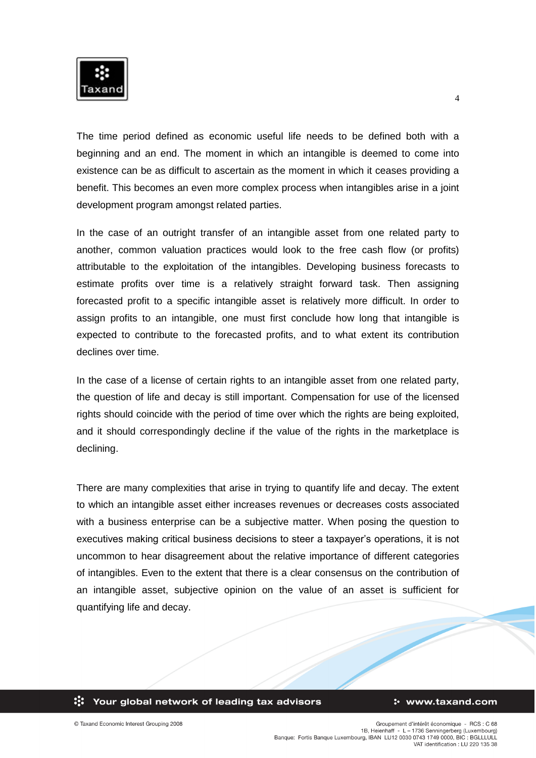

The time period defined as economic useful life needs to be defined both with a beginning and an end. The moment in which an intangible is deemed to come into existence can be as difficult to ascertain as the moment in which it ceases providing a benefit. This becomes an even more complex process when intangibles arise in a joint development program amongst related parties.

In the case of an outright transfer of an intangible asset from one related party to another, common valuation practices would look to the free cash flow (or profits) attributable to the exploitation of the intangibles. Developing business forecasts to estimate profits over time is a relatively straight forward task. Then assigning forecasted profit to a specific intangible asset is relatively more difficult. In order to assign profits to an intangible, one must first conclude how long that intangible is expected to contribute to the forecasted profits, and to what extent its contribution declines over time.

In the case of a license of certain rights to an intangible asset from one related party. the question of life and decay is still important. Compensation for use of the licensed rights should coincide with the period of time over which the rights are being exploited, and it should correspondingly decline if the value of the rights in the marketplace is declining.

There are many complexities that arise in trying to quantify life and decay. The extent to which an intangible asset either increases revenues or decreases costs associated with a business enterprise can be a subjective matter. When posing the question to executives making critical business decisions to steer a taxpayer's operations, it is not uncommon to hear disagreement about the relative importance of different categories of intangibles. Even to the extent that there is a clear consensus on the contribution of an intangible asset, subjective opinion on the value of an asset is sufficient for quantifying life and decay.

ः Your global network of leading tax advisors

#### : www.taxand.com

4

© Taxand Economic Interest Grouping 2008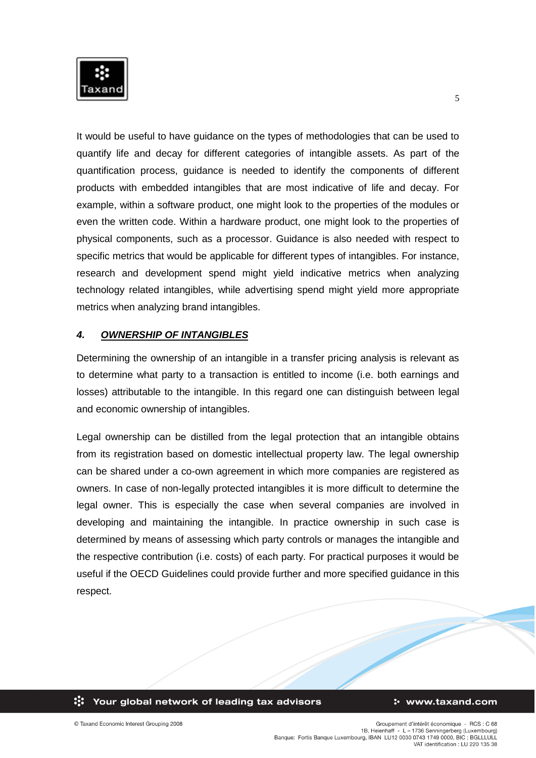

It would be useful to have guidance on the types of methodologies that can be used to quantify life and decay for different categories of intangible assets. As part of the quantification process, guidance is needed to identify the components of different products with embedded intangibles that are most indicative of life and decay. For example, within a software product, one might look to the properties of the modules or even the written code. Within a hardware product, one might look to the properties of physical components, such as a processor. Guidance is also needed with respect to specific metrics that would be applicable for different types of intangibles. For instance, research and development spend might yield indicative metrics when analyzing technology related intangibles, while advertising spend might yield more appropriate metrics when analyzing brand intangibles.

## *4. OWNERSHIP OF INTANGIBLES*

Determining the ownership of an intangible in a transfer pricing analysis is relevant as to determine what party to a transaction is entitled to income (i.e. both earnings and losses) attributable to the intangible. In this regard one can distinguish between legal and economic ownership of intangibles.

Legal ownership can be distilled from the legal protection that an intangible obtains from its registration based on domestic intellectual property law. The legal ownership can be shared under a co-own agreement in which more companies are registered as owners. In case of non-legally protected intangibles it is more difficult to determine the legal owner. This is especially the case when several companies are involved in developing and maintaining the intangible. In practice ownership in such case is determined by means of assessing which party controls or manages the intangible and the respective contribution (i.e. costs) of each party. For practical purposes it would be useful if the OECD Guidelines could provide further and more specified guidance in this respect.

#### ः Your global network of leading tax advisors

#### : www.taxand.com

© Taxand Economic Interest Grouping 2008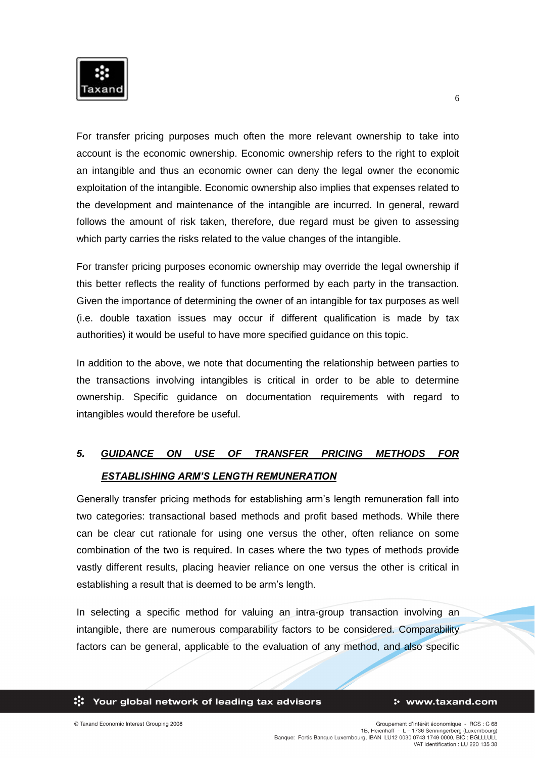

For transfer pricing purposes much often the more relevant ownership to take into account is the economic ownership. Economic ownership refers to the right to exploit an intangible and thus an economic owner can deny the legal owner the economic exploitation of the intangible. Economic ownership also implies that expenses related to the development and maintenance of the intangible are incurred. In general, reward follows the amount of risk taken, therefore, due regard must be given to assessing which party carries the risks related to the value changes of the intangible.

For transfer pricing purposes economic ownership may override the legal ownership if this better reflects the reality of functions performed by each party in the transaction. Given the importance of determining the owner of an intangible for tax purposes as well (i.e. double taxation issues may occur if different qualification is made by tax authorities) it would be useful to have more specified guidance on this topic.

In addition to the above, we note that documenting the relationship between parties to the transactions involving intangibles is critical in order to be able to determine ownership. Specific guidance on documentation requirements with regard to intangibles would therefore be useful.

# *5. GUIDANCE ON USE OF TRANSFER PRICING METHODS FOR ESTABLISHING ARM'S LENGTH REMUNERATION*

Generally transfer pricing methods for establishing arm's length remuneration fall into two categories: transactional based methods and profit based methods. While there can be clear cut rationale for using one versus the other, often reliance on some combination of the two is required. In cases where the two types of methods provide vastly different results, placing heavier reliance on one versus the other is critical in establishing a result that is deemed to be arm's length.

In selecting a specific method for valuing an intra-group transaction involving an intangible, there are numerous comparability factors to be considered. Comparability factors can be general, applicable to the evaluation of any method, and also specific

ः Your global network of leading tax advisors

6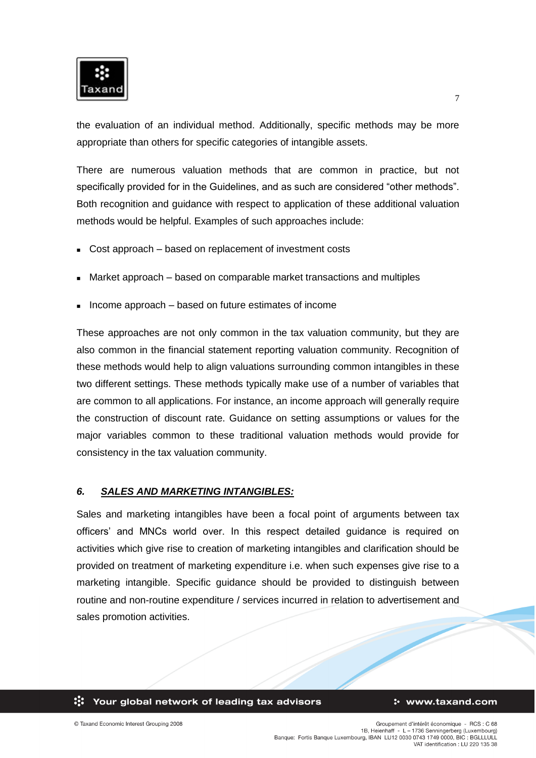

the evaluation of an individual method. Additionally, specific methods may be more appropriate than others for specific categories of intangible assets.

There are numerous valuation methods that are common in practice, but not specifically provided for in the Guidelines, and as such are considered "other methods". Both recognition and guidance with respect to application of these additional valuation methods would be helpful. Examples of such approaches include:

- Cost approach based on replacement of investment costs
- Market approach based on comparable market transactions and multiples
- Income approach based on future estimates of income

These approaches are not only common in the tax valuation community, but they are also common in the financial statement reporting valuation community. Recognition of these methods would help to align valuations surrounding common intangibles in these two different settings. These methods typically make use of a number of variables that are common to all applications. For instance, an income approach will generally require the construction of discount rate. Guidance on setting assumptions or values for the major variables common to these traditional valuation methods would provide for consistency in the tax valuation community.

## *6. SALES AND MARKETING INTANGIBLES:*

Sales and marketing intangibles have been a focal point of arguments between tax officers' and MNCs world over. In this respect detailed guidance is required on activities which give rise to creation of marketing intangibles and clarification should be provided on treatment of marketing expenditure i.e. when such expenses give rise to a marketing intangible. Specific guidance should be provided to distinguish between routine and non-routine expenditure / services incurred in relation to advertisement and sales promotion activities.

ः Your global network of leading tax advisors

#### : www.taxand.com

© Taxand Economic Interest Grouping 2008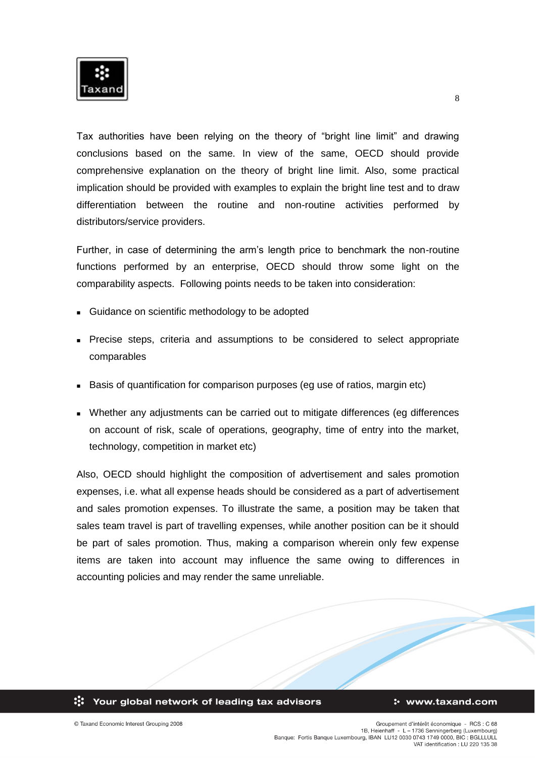

Tax authorities have been relying on the theory of "bright line limit" and drawing conclusions based on the same. In view of the same, OECD should provide comprehensive explanation on the theory of bright line limit. Also, some practical implication should be provided with examples to explain the bright line test and to draw differentiation between the routine and non-routine activities performed by distributors/service providers.

Further, in case of determining the arm's length price to benchmark the non-routine functions performed by an enterprise, OECD should throw some light on the comparability aspects. Following points needs to be taken into consideration:

- **Guidance on scientific methodology to be adopted**
- **Precise steps, criteria and assumptions to be considered to select appropriate** comparables
- **Basis of quantification for comparison purposes (eg use of ratios, margin etc)**
- Whether any adjustments can be carried out to mitigate differences (eg differences on account of risk, scale of operations, geography, time of entry into the market, technology, competition in market etc)

Also, OECD should highlight the composition of advertisement and sales promotion expenses, i.e. what all expense heads should be considered as a part of advertisement and sales promotion expenses. To illustrate the same, a position may be taken that sales team travel is part of travelling expenses, while another position can be it should be part of sales promotion. Thus, making a comparison wherein only few expense items are taken into account may influence the same owing to differences in accounting policies and may render the same unreliable.



8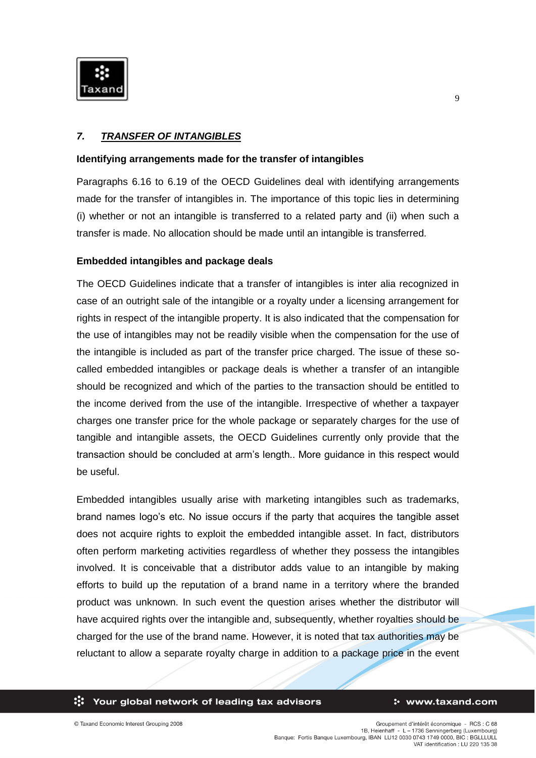

## *7. TRANSFER OF INTANGIBLES*

## **Identifying arrangements made for the transfer of intangibles**

Paragraphs 6.16 to 6.19 of the OECD Guidelines deal with identifying arrangements made for the transfer of intangibles in. The importance of this topic lies in determining (i) whether or not an intangible is transferred to a related party and (ii) when such a transfer is made. No allocation should be made until an intangible is transferred.

## **Embedded intangibles and package deals**

The OECD Guidelines indicate that a transfer of intangibles is inter alia recognized in case of an outright sale of the intangible or a royalty under a licensing arrangement for rights in respect of the intangible property. It is also indicated that the compensation for the use of intangibles may not be readily visible when the compensation for the use of the intangible is included as part of the transfer price charged. The issue of these socalled embedded intangibles or package deals is whether a transfer of an intangible should be recognized and which of the parties to the transaction should be entitled to the income derived from the use of the intangible. Irrespective of whether a taxpayer charges one transfer price for the whole package or separately charges for the use of tangible and intangible assets, the OECD Guidelines currently only provide that the transaction should be concluded at arm's length.. More guidance in this respect would be useful.

Embedded intangibles usually arise with marketing intangibles such as trademarks, brand names logo's etc. No issue occurs if the party that acquires the tangible asset does not acquire rights to exploit the embedded intangible asset. In fact, distributors often perform marketing activities regardless of whether they possess the intangibles involved. It is conceivable that a distributor adds value to an intangible by making efforts to build up the reputation of a brand name in a territory where the branded product was unknown. In such event the question arises whether the distributor will have acquired rights over the intangible and, subsequently, whether royalties should be charged for the use of the brand name. However, it is noted that tax authorities may be reluctant to allow a separate royalty charge in addition to a package price in the event

### ः Your global network of leading tax advisors

#### : www.taxand.com

 $\mathbf Q$ 

© Taxand Economic Interest Grouping 2008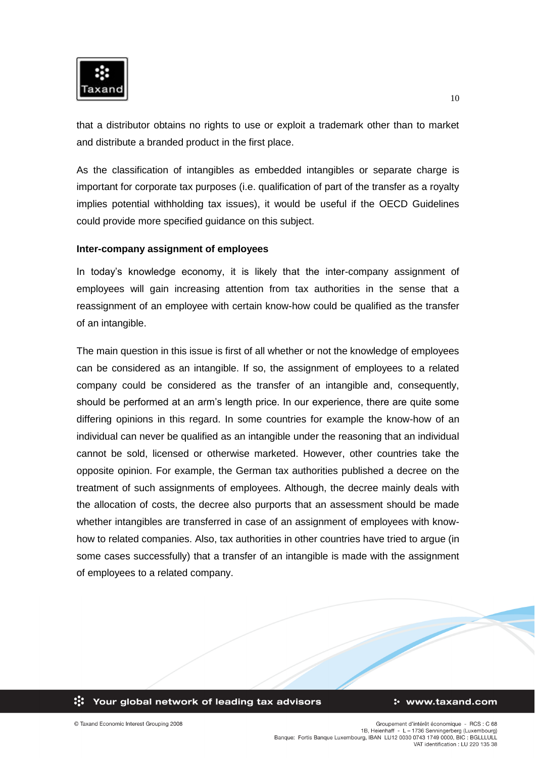

that a distributor obtains no rights to use or exploit a trademark other than to market and distribute a branded product in the first place.

As the classification of intangibles as embedded intangibles or separate charge is important for corporate tax purposes (i.e. qualification of part of the transfer as a royalty implies potential withholding tax issues), it would be useful if the OECD Guidelines could provide more specified guidance on this subject.

## **Inter-company assignment of employees**

In today's knowledge economy, it is likely that the inter-company assignment of employees will gain increasing attention from tax authorities in the sense that a reassignment of an employee with certain know-how could be qualified as the transfer of an intangible.

The main question in this issue is first of all whether or not the knowledge of employees can be considered as an intangible. If so, the assignment of employees to a related company could be considered as the transfer of an intangible and, consequently, should be performed at an arm's length price. In our experience, there are quite some differing opinions in this regard. In some countries for example the know-how of an individual can never be qualified as an intangible under the reasoning that an individual cannot be sold, licensed or otherwise marketed. However, other countries take the opposite opinion. For example, the German tax authorities published a decree on the treatment of such assignments of employees. Although, the decree mainly deals with the allocation of costs, the decree also purports that an assessment should be made whether intangibles are transferred in case of an assignment of employees with knowhow to related companies. Also, tax authorities in other countries have tried to argue (in some cases successfully) that a transfer of an intangible is made with the assignment of employees to a related company.



#### : www.taxand.com

© Taxand Economic Interest Grouping 2008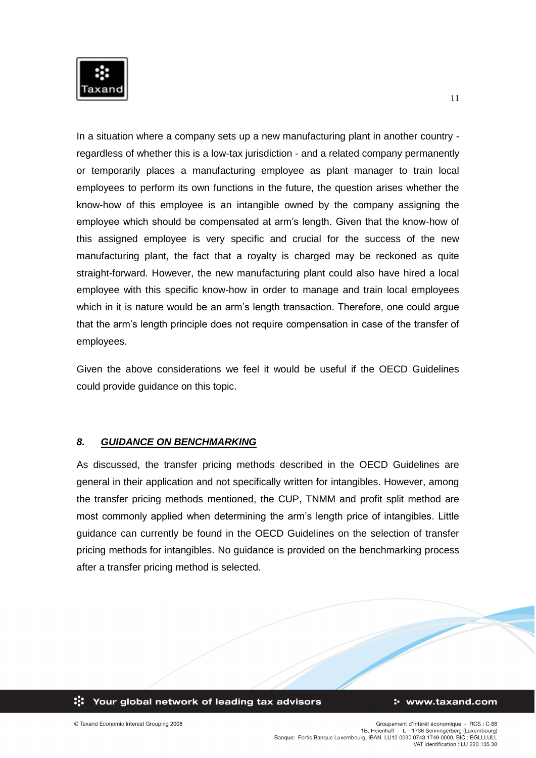

In a situation where a company sets up a new manufacturing plant in another country regardless of whether this is a low-tax jurisdiction - and a related company permanently or temporarily places a manufacturing employee as plant manager to train local employees to perform its own functions in the future, the question arises whether the know-how of this employee is an intangible owned by the company assigning the employee which should be compensated at arm's length. Given that the know-how of this assigned employee is very specific and crucial for the success of the new manufacturing plant, the fact that a royalty is charged may be reckoned as quite straight-forward. However, the new manufacturing plant could also have hired a local employee with this specific know-how in order to manage and train local employees which in it is nature would be an arm's length transaction. Therefore, one could argue that the arm's length principle does not require compensation in case of the transfer of employees.

Given the above considerations we feel it would be useful if the OECD Guidelines could provide guidance on this topic.

## *8. GUIDANCE ON BENCHMARKING*

As discussed, the transfer pricing methods described in the OECD Guidelines are general in their application and not specifically written for intangibles. However, among the transfer pricing methods mentioned, the CUP, TNMM and profit split method are most commonly applied when determining the arm's length price of intangibles. Little guidance can currently be found in the OECD Guidelines on the selection of transfer pricing methods for intangibles. No guidance is provided on the benchmarking process after a transfer pricing method is selected.



© Taxand Economic Interest Grouping 2008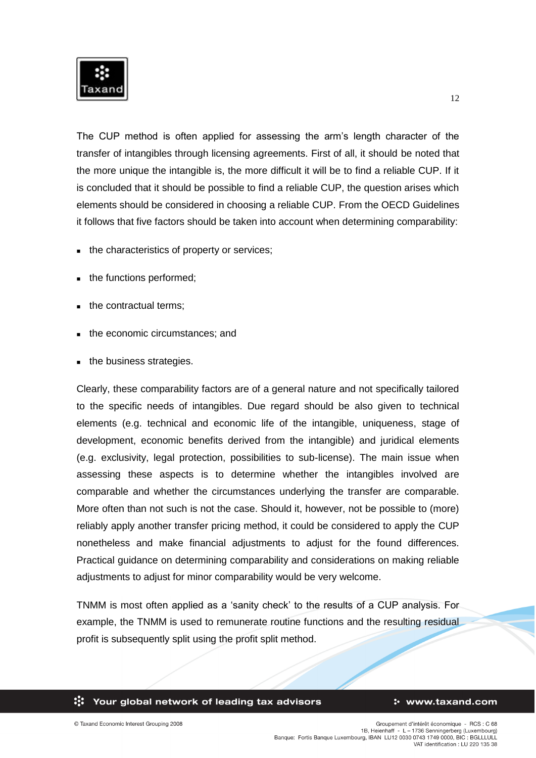

The CUP method is often applied for assessing the arm's length character of the transfer of intangibles through licensing agreements. First of all, it should be noted that the more unique the intangible is, the more difficult it will be to find a reliable CUP. If it is concluded that it should be possible to find a reliable CUP, the question arises which elements should be considered in choosing a reliable CUP. From the OECD Guidelines it follows that five factors should be taken into account when determining comparability:

- the characteristics of property or services;
- the functions performed;
- the contractual terms;
- the economic circumstances; and
- the business strategies.

Clearly, these comparability factors are of a general nature and not specifically tailored to the specific needs of intangibles. Due regard should be also given to technical elements (e.g. technical and economic life of the intangible, uniqueness, stage of development, economic benefits derived from the intangible) and juridical elements (e.g. exclusivity, legal protection, possibilities to sub-license). The main issue when assessing these aspects is to determine whether the intangibles involved are comparable and whether the circumstances underlying the transfer are comparable. More often than not such is not the case. Should it, however, not be possible to (more) reliably apply another transfer pricing method, it could be considered to apply the CUP nonetheless and make financial adjustments to adjust for the found differences. Practical guidance on determining comparability and considerations on making reliable adjustments to adjust for minor comparability would be very welcome.

TNMM is most often applied as a 'sanity check' to the results of a CUP analysis. For example, the TNMM is used to remunerate routine functions and the resulting residual profit is subsequently split using the profit split method.

#### : www.taxand.com

© Taxand Economic Interest Grouping 2008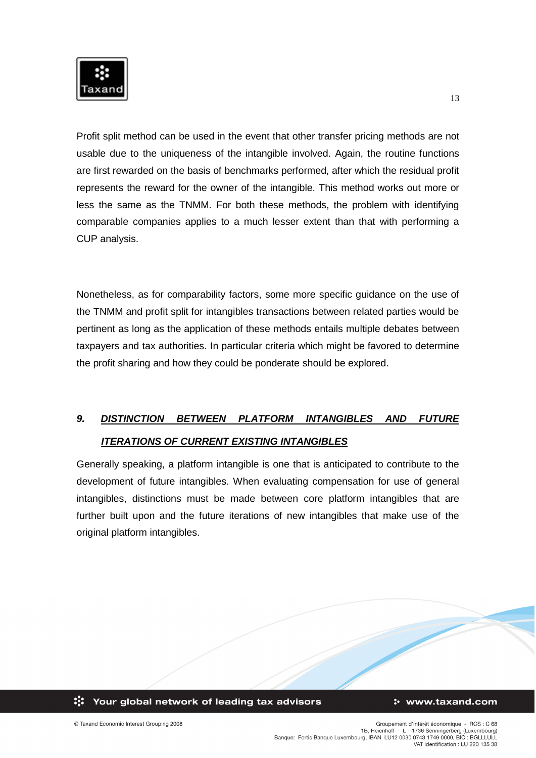

Profit split method can be used in the event that other transfer pricing methods are not usable due to the uniqueness of the intangible involved. Again, the routine functions are first rewarded on the basis of benchmarks performed, after which the residual profit represents the reward for the owner of the intangible. This method works out more or less the same as the TNMM. For both these methods, the problem with identifying comparable companies applies to a much lesser extent than that with performing a CUP analysis.

Nonetheless, as for comparability factors, some more specific guidance on the use of the TNMM and profit split for intangibles transactions between related parties would be pertinent as long as the application of these methods entails multiple debates between taxpayers and tax authorities. In particular criteria which might be favored to determine the profit sharing and how they could be ponderate should be explored.

# *9. DISTINCTION BETWEEN PLATFORM INTANGIBLES AND FUTURE ITERATIONS OF CURRENT EXISTING INTANGIBLES*

Generally speaking, a platform intangible is one that is anticipated to contribute to the development of future intangibles. When evaluating compensation for use of general intangibles, distinctions must be made between core platform intangibles that are further built upon and the future iterations of new intangibles that make use of the original platform intangibles.

ः Your global network of leading tax advisors

### : www.taxand.com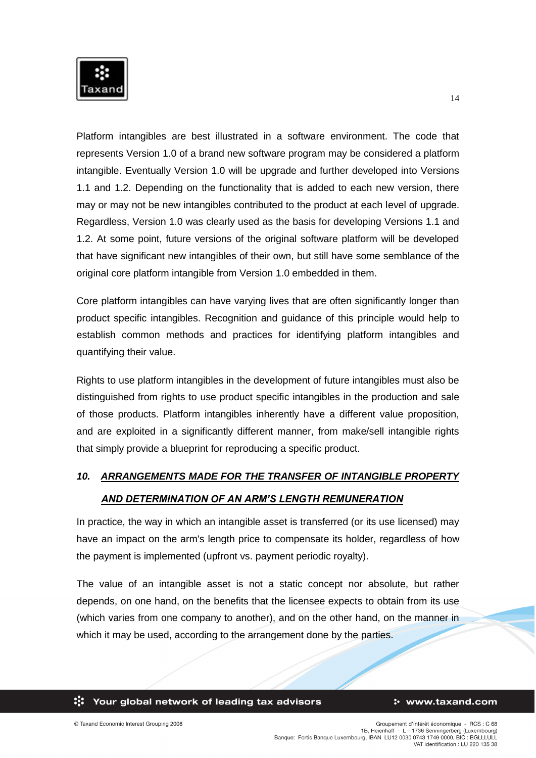

Platform intangibles are best illustrated in a software environment. The code that represents Version 1.0 of a brand new software program may be considered a platform intangible. Eventually Version 1.0 will be upgrade and further developed into Versions 1.1 and 1.2. Depending on the functionality that is added to each new version, there may or may not be new intangibles contributed to the product at each level of upgrade. Regardless, Version 1.0 was clearly used as the basis for developing Versions 1.1 and 1.2. At some point, future versions of the original software platform will be developed that have significant new intangibles of their own, but still have some semblance of the original core platform intangible from Version 1.0 embedded in them.

Core platform intangibles can have varying lives that are often significantly longer than product specific intangibles. Recognition and guidance of this principle would help to establish common methods and practices for identifying platform intangibles and quantifying their value.

Rights to use platform intangibles in the development of future intangibles must also be distinguished from rights to use product specific intangibles in the production and sale of those products. Platform intangibles inherently have a different value proposition, and are exploited in a significantly different manner, from make/sell intangible rights that simply provide a blueprint for reproducing a specific product.

# *10. ARRANGEMENTS MADE FOR THE TRANSFER OF INTANGIBLE PROPERTY*

## *AND DETERMINATION OF AN ARM'S LENGTH REMUNERATION*

In practice, the way in which an intangible asset is transferred (or its use licensed) may have an impact on the arm's length price to compensate its holder, regardless of how the payment is implemented (upfront vs. payment periodic royalty).

The value of an intangible asset is not a static concept nor absolute, but rather depends, on one hand, on the benefits that the licensee expects to obtain from its use (which varies from one company to another), and on the other hand, on the manner in which it may be used, according to the arrangement done by the parties.

#### : www.taxand.com

© Taxand Economic Interest Grouping 2008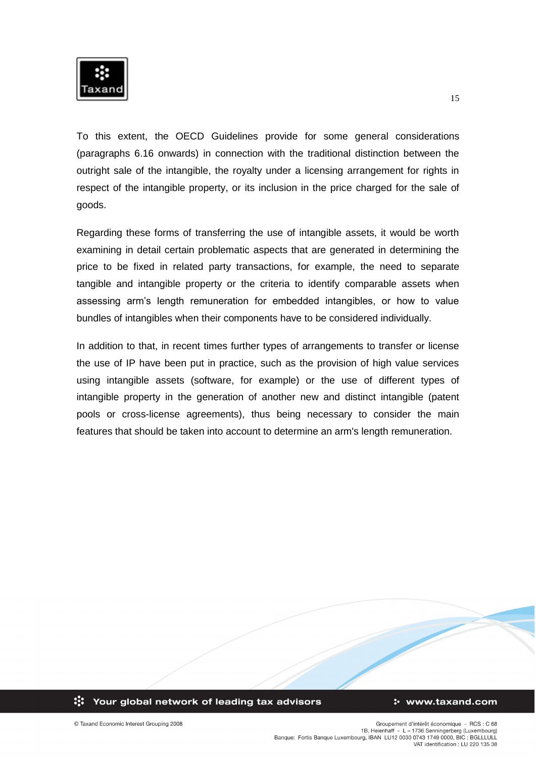

To this extent, the OECD Guidelines provide for some general considerations (paragraphs 6.16 onwards) in connection with the traditional distinction between the outright sale of the intangible, the royalty under a licensing arrangement for rights in respect of the intangible property, or its inclusion in the price charged for the sale of goods.

Regarding these forms of transferring the use of intangible assets, it would be worth examining in detail certain problematic aspects that are generated in determining the price to be fixed in related party transactions, for example, the need to separate tangible and intangible property or the criteria to identify comparable assets when assessing arm's length remuneration for embedded intangibles, or how to value bundles of intangibles when their components have to be considered individually.

In addition to that, in recent times further types of arrangements to transfer or license the use of IP have been put in practice, such as the provision of high value services using intangible assets (software, for example) or the use of different types of intangible property in the generation of another new and distinct intangible (patent pools or cross-license agreements), thus being necessary to consider the main features that should be taken into account to determine an arm's length remuneration.

### ः Your global network of leading tax advisors

#### : www.taxand.com

© Taxand Economic Interest Grouping 2008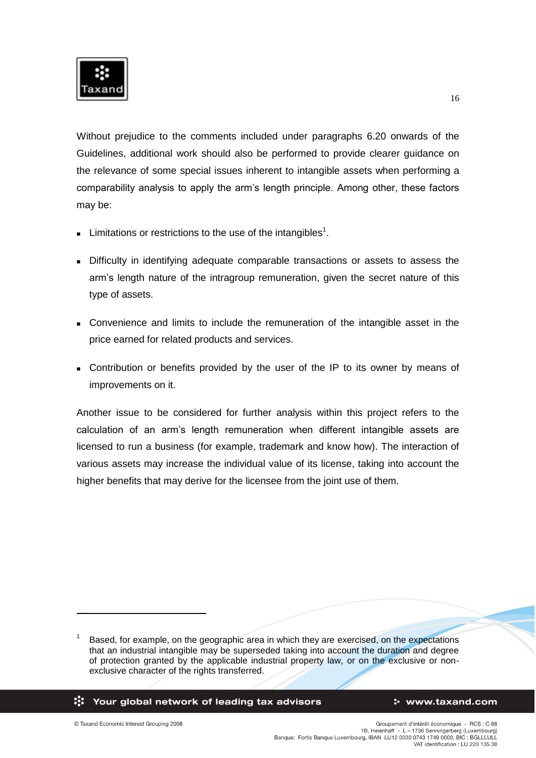

Without prejudice to the comments included under paragraphs 6.20 onwards of the Guidelines, additional work should also be performed to provide clearer guidance on the relevance of some special issues inherent to intangible assets when performing a comparability analysis to apply the arm's length principle. Among other, these factors may be:

- **Limitations or restrictions to the use of the intangibles<sup>1</sup>.**
- **Difficulty in identifying adequate comparable transactions or assets to assess the** arm's length nature of the intragroup remuneration, given the secret nature of this type of assets.
- Convenience and limits to include the remuneration of the intangible asset in the price earned for related products and services.
- Contribution or benefits provided by the user of the IP to its owner by means of improvements on it.

Another issue to be considered for further analysis within this project refers to the calculation of an arm's length remuneration when different intangible assets are licensed to run a business (for example, trademark and know how). The interaction of various assets may increase the individual value of its license, taking into account the higher benefits that may derive for the licensee from the joint use of them.

:: Your global network of leading tax advisors

#### : www.taxand.com

© Taxand Economic Interest Grouping 2008

-

<sup>1</sup> Based, for example, on the geographic area in which they are exercised, on the expectations that an industrial intangible may be superseded taking into account the duration and degree of protection granted by the applicable industrial property law, or on the exclusive or nonexclusive character of the rights transferred.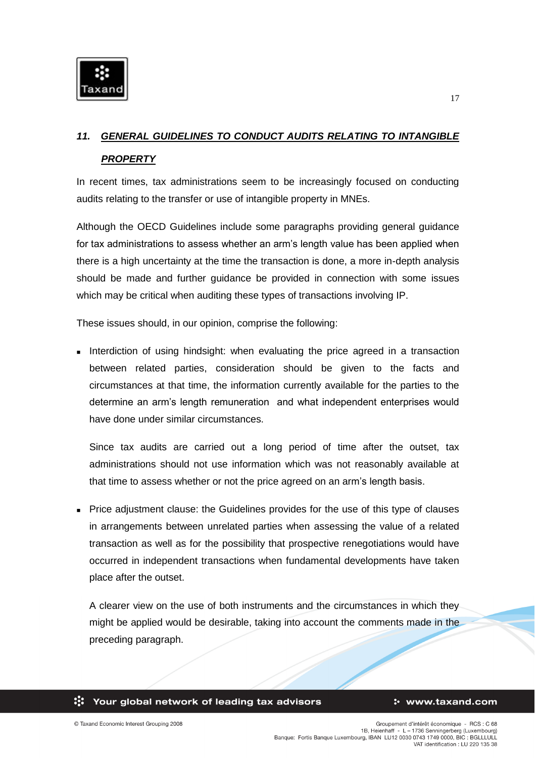

# *11. GENERAL GUIDELINES TO CONDUCT AUDITS RELATING TO INTANGIBLE PROPERTY*

In recent times, tax administrations seem to be increasingly focused on conducting audits relating to the transfer or use of intangible property in MNEs.

Although the OECD Guidelines include some paragraphs providing general guidance for tax administrations to assess whether an arm's length value has been applied when there is a high uncertainty at the time the transaction is done, a more in-depth analysis should be made and further guidance be provided in connection with some issues which may be critical when auditing these types of transactions involving IP.

These issues should, in our opinion, comprise the following:

Interdiction of using hindsight: when evaluating the price agreed in a transaction between related parties, consideration should be given to the facts and circumstances at that time, the information currently available for the parties to the determine an arm's length remuneration and what independent enterprises would have done under similar circumstances.

Since tax audits are carried out a long period of time after the outset, tax administrations should not use information which was not reasonably available at that time to assess whether or not the price agreed on an arm's length basis.

 Price adjustment clause: the Guidelines provides for the use of this type of clauses in arrangements between unrelated parties when assessing the value of a related transaction as well as for the possibility that prospective renegotiations would have occurred in independent transactions when fundamental developments have taken place after the outset.

A clearer view on the use of both instruments and the circumstances in which they might be applied would be desirable, taking into account the comments made in the preceding paragraph.

:: Your global network of leading tax advisors

#### : www.taxand.com

17

© Taxand Economic Interest Grouping 2008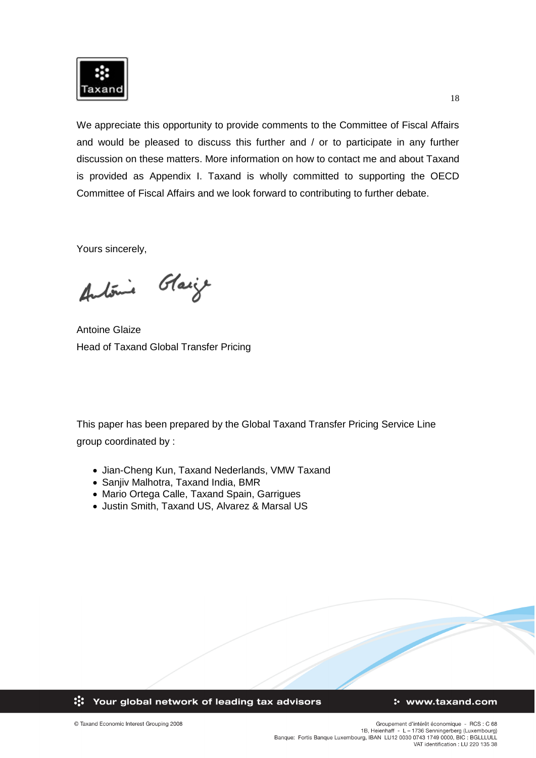

We appreciate this opportunity to provide comments to the Committee of Fiscal Affairs and would be pleased to discuss this further and / or to participate in any further discussion on these matters. More information on how to contact me and about Taxand is provided as Appendix I. Taxand is wholly committed to supporting the OECD Committee of Fiscal Affairs and we look forward to contributing to further debate.

Yours sincerely,

António Glasje

Antoine Glaize Head of Taxand Global Transfer Pricing

This paper has been prepared by the Global Taxand Transfer Pricing Service Line group coordinated by :

- Jian-Cheng Kun, Taxand Nederlands, VMW Taxand
- Sanjiv Malhotra, Taxand India, BMR
- Mario Ortega Calle, Taxand Spain, Garrigues
- Justin Smith, Taxand US, Alvarez & Marsal US

:: Your global network of leading tax advisors

### : www.taxand.com

© Taxand Economic Interest Grouping 2008